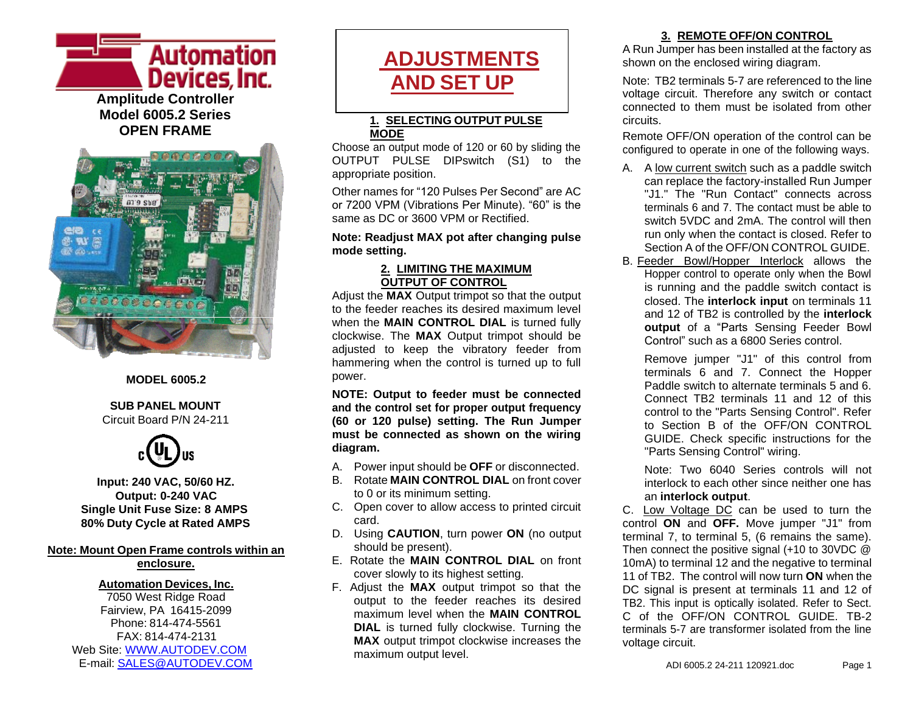



#### **MODEL 6005.2**

#### **SUB PANEL MOUNT** Circuit Board P/N 24-211



**Input: 240 VAC, 50/60 HZ. Output: 0-240 VAC Single Unit Fuse Size: 8 AMPS 80% Duty Cycle at Rated AMPS**

#### **Note: Mount Open Frame controls within an enclosure.**

**Automation Devices, Inc.** 7050 West Ridge Road Fairview, PA 16415-2099 Phone: 814-474-5561 FAX: 814-474-2131 Web Site: [WWW.AUTODEV.COM](http://www.autodev.com/) E-mail: [SALES@AUTODEV.COM](mailto:SALES@AUTODEV.COM)

# **ADJUSTMENTS AND SET UP**

#### **1. SELECTING OUTPUT PULSE MODE**

Choose an output mode of 120 or 60 by sliding the OUTPUT PULSE DIPswitch (S1) to the appropriate position.

Other names for "120 Pulses Per Second" are AC or 7200 VPM (Vibrations Per Minute). "60" is the same as DC or 3600 VPM or Rectified.

#### **Note: Readjust MAX pot after changing pulse mode setting.**

#### **2. LIMITING THE MAXIMUM OUTPUT OF CONTROL**

Adjust the **MAX** Output trimpot so that the output to the feeder reaches its desired maximum level when the **MAIN CONTROL DIAL** is turned fully clockwise. The **MAX** Output trimpot should be adjusted to keep the vibratory feeder from hammering when the control is turned up to full power.

**NOTE: Output to feeder must be connected and the control set for proper output frequency (60 or 120 pulse) setting. The Run Jumper must be connected as shown on the wiring diagram.**

- A. Power input should be **OFF** or disconnected.
- B. Rotate **MAIN CONTROL DIAL** on front cover to 0 or its minimum setting.
- C. Open cover to allow access to printed circuit card.
- D. Using **CAUTION**, turn power **ON** (no output should be present).
- E. Rotate the **MAIN CONTROL DIAL** on front cover slowly to its highest setting.
- F. Adjust the **MAX** output trimpot so that the output to the feeder reaches its desired maximum level when the **MAIN CONTROL DIAL** is turned fully clockwise. Turning the **MAX** output trimpot clockwise increases the maximum output level.

#### **3. REMOTE OFF/ON CONTROL**

A Run Jumper has been installed at the factory as shown on the enclosed wiring diagram.

Note: TB2 terminals 5-7 are referenced to the line voltage circuit. Therefore any switch or contact connected to them must be isolated from other circuits.

Remote OFF/ON operation of the control can be configured to operate in one of the following ways.

- A. A low current switch such as a paddle switch can replace the factory-installed Run Jumper "J1." The "Run Contact" connects across terminals 6 and 7. The contact must be able to switch 5VDC and 2mA. The control will then run only when the contact is closed. Refer to Section A of the OFF/ON CONTROL GUIDE.
- B. Feeder Bowl/Hopper Interlock allows the Hopper control to operate only when the Bowl is running and the paddle switch contact is closed. The **interlock input** on terminals 11 and 12 of TB2 is controlled by the **interlock output** of a "Parts Sensing Feeder Bowl Control" such as a 6800 Series control.

Remove jumper "J1" of this control from terminals 6 and 7. Connect the Hopper Paddle switch to alternate terminals 5 and 6. Connect TB2 terminals 11 and 12 of this control to the "Parts Sensing Control". Refer to Section B of the OFF/ON CONTROL GUIDE. Check specific instructions for the "Parts Sensing Control" wiring.

Note: Two 6040 Series controls will not interlock to each other since neither one has an **interlock output**.

C. Low Voltage DC can be used to turn the control **ON** and **OFF.** Move jumper "J1" from terminal 7, to terminal 5, (6 remains the same). Then connect the positive signal (+10 to 30VDC @ 10mA) to terminal 12 and the negative to terminal 11 of TB2. The control will now turn **ON** when the DC signal is present at terminals 11 and 12 of TB2. This input is optically isolated. Refer to Sect. C of the OFF/ON CONTROL GUIDE TB-2 terminals 5-7 are transformer isolated from the line voltage circuit.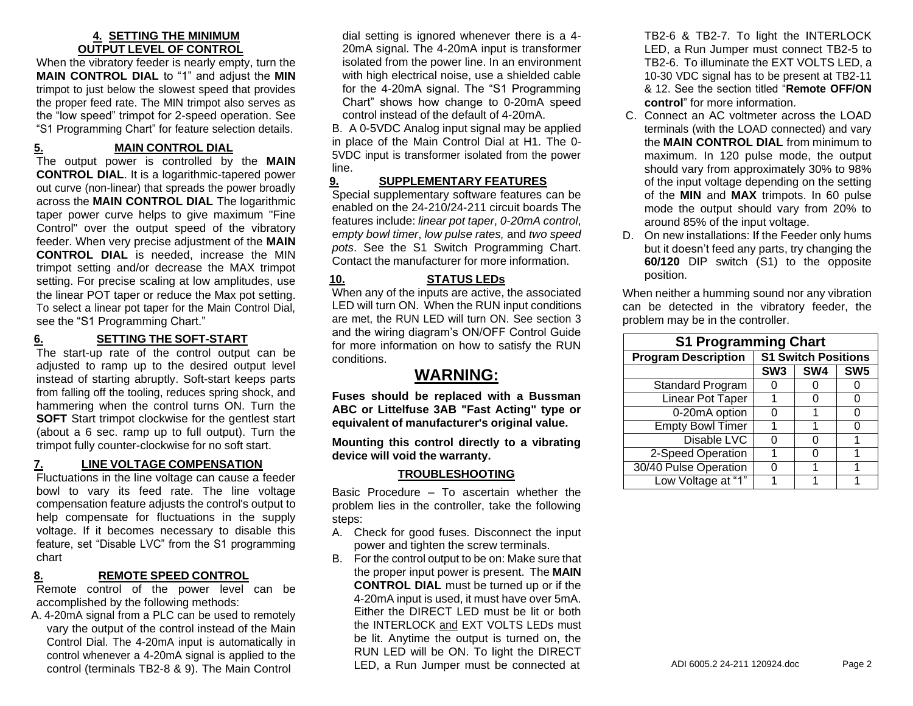#### **4. SETTING THE MINIMUM OUTPUT LEVEL OF CONTROL**

When the vibratory feeder is nearly empty, turn the **MAIN CONTROL DIAL** to "1" and adjust the **MIN** trimpot to just below the slowest speed that provides the proper feed rate. The MIN trimpot also serves as the "low speed" trimpot for 2-speed operation. See "S1 Programming Chart" for feature selection details.

#### **5. MAIN CONTROL DIAL**

The output power is controlled by the **MAIN CONTROL DIAL**. It is a logarithmic-tapered power out curve (non-linear) that spreads the power broadly across the **MAIN CONTROL DIAL** The logarithmic taper power curve helps to give maximum "Fine Control" over the output speed of the vibratory feeder. When very precise adjustment of the **MAIN CONTROL DIAL** is needed, increase the MIN trimpot setting and/or decrease the MAX trimpot setting. For precise scaling at low amplitudes, use the linear POT taper or reduce the Max pot setting. To select a linear pot taper for the Main Control Dial, see the "S1 Programming Chart."

#### **6. SETTING THE SOFT-START**

The start-up rate of the control output can be adjusted to ramp up to the desired output level instead of starting abruptly. Soft-start keeps parts from falling off the tooling, reduces spring shock, and hammering when the control turns ON. Turn the **SOFT** Start trimpot clockwise for the gentlest start (about a 6 sec. ramp up to full output). Turn the trimpot fully counter-clockwise for no soft start.

#### **7. LINE VOLTAGE COMPENSATION**

Fluctuations in the line voltage can cause a feeder bowl to vary its feed rate. The line voltage compensation feature adjusts the control's output to help compensate for fluctuations in the supply voltage. If it becomes necessary to disable this feature, set "Disable LVC" from the S1 programming chart

#### **8. REMOTE SPEED CONTROL**

Remote control of the power level can be accomplished by the following methods:

A. 4-20mA signal from a PLC can be used to remotely vary the output of the control instead of the Main Control Dial. The 4-20mA input is automatically in control whenever a 4-20mA signal is applied to the control (terminals TB2-8 & 9). The Main Control

dial setting is ignored whenever there is a 4- 20mA signal. The 4-20mA input is transformer isolated from the power line. In an environment with high electrical noise, use a shielded cable for the 4-20mA signal. The "S1 Programming Chart" shows how change to 0-20mA speed control instead of the default of 4-20mA.

B. A 0-5VDC Analog input signal may be applied in place of the Main Control Dial at H1. The 0- 5VDC input is transformer isolated from the power line.

#### **9. SUPPLEMENTARY FEATURES**

Special supplementary software features can be enabled on the 24-210/24-211 circuit boards The features include: *linear pot taper*, *0-20mA control*, e*mpty bowl timer*, *low pulse rates,* and *two speed pots*. See the S1 Switch Programming Chart. Contact the manufacturer for more information.

#### **10. STATUS LEDs**

When any of the inputs are active, the associated LED will turn ON. When the RUN input conditions are met, the RUN LED will turn ON. See section 3 and the wiring diagram's ON/OFF Control Guide for more information on how to satisfy the RUN conditions.

#### **WARNING:**

**Fuses should be replaced with a Bussman ABC or Littelfuse 3AB "Fast Acting" type or equivalent of manufacturer's original value.**

**Mounting this control directly to a vibrating device will void the warranty.**

#### **TROUBLESHOOTING**

Basic Procedure – To ascertain whether the problem lies in the controller, take the following steps:

- A. Check for good fuses. Disconnect the input power and tighten the screw terminals.
- B. For the control output to be on: Make sure that the proper input power is present. The **MAIN CONTROL DIAL** must be turned up or if the 4-20mA input is used, it must have over 5mA. Either the DIRECT LED must be lit or both the INTERLOCK and EXT VOLTS LEDs must be lit. Anytime the output is turned on, the RUN LED will be ON. To light the DIRECT LED, a Run Jumper must be connected at

TB2-6 & TB2-7. To light the INTERLOCK LED, a Run Jumper must connect TB2-5 to TB2-6. To illuminate the EXT VOLTS LED, a 10-30 VDC signal has to be present at TB2-11 & 12. See the section titled "**Remote OFF/ON control**" for more information.

- C. Connect an AC voltmeter across the LOAD terminals (with the LOAD connected) and vary the **MAIN CONTROL DIAL** from minimum to maximum. In 120 pulse mode, the output should vary from approximately 30% to 98% of the input voltage depending on the setting of the **MIN** and **MAX** trimpots. In 60 pulse mode the output should vary from 20% to around 85% of the input voltage.
- D. On new installations: If the Feeder only hums but it doesn't feed any parts, try changing the **60/120** DIP switch (S1) to the opposite position.

When neither a humming sound nor any vibration can be detected in the vibratory feeder, the problem may be in the controller.

| <b>S1 Programming Chart</b> |                            |     |                 |  |  |
|-----------------------------|----------------------------|-----|-----------------|--|--|
| <b>Program Description</b>  | <b>S1 Switch Positions</b> |     |                 |  |  |
|                             | SW <sub>3</sub>            | SW4 | SW <sub>5</sub> |  |  |
| <b>Standard Program</b>     |                            |     |                 |  |  |
| <b>Linear Pot Taper</b>     |                            |     | 0               |  |  |
| 0-20mA option               |                            |     |                 |  |  |
| <b>Empty Bowl Timer</b>     |                            |     | 0               |  |  |
| Disable LVC                 |                            |     |                 |  |  |
| 2-Speed Operation           |                            | 0   |                 |  |  |
| 30/40 Pulse Operation       |                            |     |                 |  |  |
| Low Voltage at "1"          |                            |     |                 |  |  |